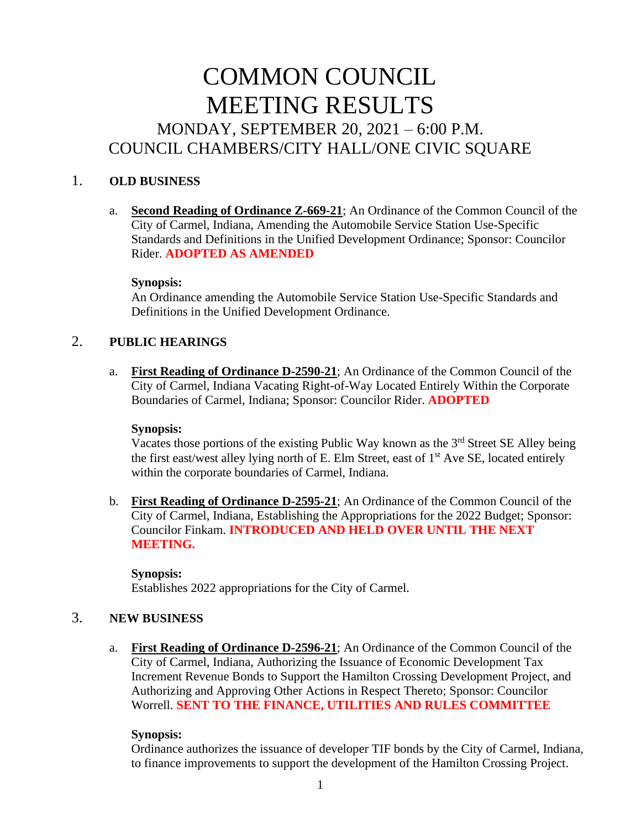# COMMON COUNCIL MEETING RESULTS MONDAY, SEPTEMBER 20, 2021 – 6:00 P.M. COUNCIL CHAMBERS/CITY HALL/ONE CIVIC SQUARE

## 1. **OLD BUSINESS**

a. **Second Reading of Ordinance Z-669-21**; An Ordinance of the Common Council of the City of Carmel, Indiana, Amending the Automobile Service Station Use-Specific Standards and Definitions in the Unified Development Ordinance; Sponsor: Councilor Rider. **ADOPTED AS AMENDED**

## **Synopsis:**

An Ordinance amending the Automobile Service Station Use-Specific Standards and Definitions in the Unified Development Ordinance.

## 2. **PUBLIC HEARINGS**

a. **First Reading of Ordinance D-2590-21**; An Ordinance of the Common Council of the City of Carmel, Indiana Vacating Right-of-Way Located Entirely Within the Corporate Boundaries of Carmel, Indiana; Sponsor: Councilor Rider. **ADOPTED**

### **Synopsis:**

Vacates those portions of the existing Public Way known as the 3<sup>rd</sup> Street SE Alley being the first east/west alley lying north of E. Elm Street, east of  $1<sup>st</sup>$  Ave SE, located entirely within the corporate boundaries of Carmel, Indiana.

b. **First Reading of Ordinance D-2595-21**; An Ordinance of the Common Council of the City of Carmel, Indiana, Establishing the Appropriations for the 2022 Budget; Sponsor: Councilor Finkam. **INTRODUCED AND HELD OVER UNTIL THE NEXT MEETING.**

## **Synopsis:** Establishes 2022 appropriations for the City of Carmel.

## 3. **NEW BUSINESS**

a. **First Reading of Ordinance D-2596-21**; An Ordinance of the Common Council of the City of Carmel, Indiana, Authorizing the Issuance of Economic Development Tax Increment Revenue Bonds to Support the Hamilton Crossing Development Project, and Authorizing and Approving Other Actions in Respect Thereto; Sponsor: Councilor Worrell. **SENT TO THE FINANCE, UTILITIES AND RULES COMMITTEE**

## **Synopsis:**

Ordinance authorizes the issuance of developer TIF bonds by the City of Carmel, Indiana, to finance improvements to support the development of the Hamilton Crossing Project.